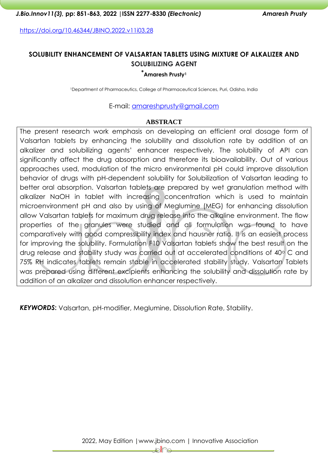<https://doi.org/10.46344/JBINO.2022.v11i03.28>

# **SOLUBILITY ENHANCEMENT OF VALSARTAN TABLETS USING MIXTURE OF ALKALIZER AND SOLUBILIZING AGENT**

#### **\*Amaresh Prusty<sup>1</sup>**

<sup>1</sup>Department of Pharmaceutics, College of Pharmaceutical Sciences, Puri, Odisha, India

E-mail: [amareshprusty@gmail.com](mailto:amareshprusty@gmail.com)

#### **ABSTRACT**

The present research work emphasis on developing an efficient oral dosage form of Valsartan tablets by enhancing the solubility and dissolution rate by addition of an alkalizer and solubilizing agents' enhancer respectively. The solubility of API can significantly affect the drug absorption and therefore its bioavailability. Out of various approaches used, modulation of the micro environmental pH could improve dissolution behavior of drugs with pH-dependent solubility for Solubilization of Valsartan leading to better oral absorption. Valsartan tablets are prepared by wet granulation method with alkalizer NaOH in tablet with increasing concentration which is used to maintain microenvironment pH and also by using of Meglumine (MEG) for enhancing dissolution allow Valsartan tablets for maximum drug release into the alkaline environment. The flow properties of the granules were studied and all formulation was found to have comparatively with good compressibility index and hausner ratio. It is an easiest process for improving the solubility. Formulation F10 Valsartan tablets show the best result on the drug release and stability study was carried out at accelerated conditions of 40° C and 75% RH indicates tablets remain stable in accelerated stability study. Valsartan Tablets was prepared using different excipients enhancing the solubility and dissolution rate by addition of an alkalizer and dissolution enhancer respectively.

*KEYWORDS***:** Valsartan, pH-modifier, Meglumine, Dissolution Rate, Stability.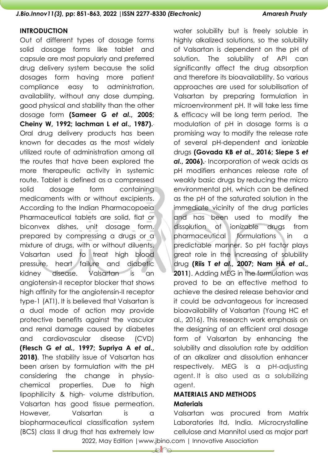#### **INTRODUCTION**

Out of different types of dosage forms solid dosage forms like tablet and capsule are most popularly and preferred drug delivery system because the solid dosages form having more patient compliance easy to administration, availability, without any dose dumping, good physical and stability than the other dosage form **(Sameer G** *et al***., 2005; Cheiny W, 1992; lachman L** *et al***., 1987).** . Oral drug delivery products has been known for decades as the most widely utilized route of administration among all the routes that have been explored the more therapeutic activity in systemic route. Tablet is defined as a compressed solid dosage form containing medicaments with or without excipients. According to the Indian Pharmacopoeia Pharmaceutical tablets are solid, flat or biconvex dishes, unit dosage form, prepared by compressing a drugs or a mixture of drugs, with or without diluents. Valsartan used to treat high blood pressure, heart failure and diabetic kidney disease. Valsartan is an angiotensin-II receptor blocker that shows high affinity for the angiotensin-II receptor type-1 (AT1). It is believed that Valsartan is a dual mode of action may provide protective benefits against the vascular and renal damage caused by diabetes and cardiovascular disease (CVD) **(Flesch G** *et al.***, 1997; Supriya A** *et al***., 2018)**. The stability issue of Valsartan has been arisen by formulation with the pH considering the change in physiochemical properties. Due to high lipophilicity & high- volume distribution, Valsartan has good tissue permeation. However, Valsartan is a biopharmaceutical classification system (BCS) class II drug that has extremely low

water solubility but is freely soluble in highly alkalized solutions, so the solubility of Valsartan is dependent on the pH of solution. The solubility of API can significantly affect the drug absorption and therefore its bioavailability. So various approaches are used for solubilisation of Valsartan by preparing formulation in microenvironment pH. It will take less time & efficacy will be long term period. The modulation of pH in dosage forms is a promising way to modify the release rate of several pH-dependent and ionizable drugs **(Govada KB** *et al***., 2016; Siepe S** *et al***., 2006)..** Incorporation of weak acids as pH modifiers enhances release rate of weakly basic drugs by reducing the micro environmental pH, which can be defined as the pH of the saturated solution in the immediate vicinity of the drug particles and has been used to modify the dissolution of ionizable drugs from pharmaceutical formulations in a predictable manner. So pH factor plays great role in the increasing of solubility drug **(Riis T** *et al***., 2007; Nam HA** *et al***., 2011**). Adding MEG in the formulation was proved to be an effective method to achieve the desired release behavior and it could be advantageous for increased bioavailability of Valsartan (Young HC et al., 2016). This research work emphasis on the designing of an efficient oral dosage form of Valsartan by enhancing the solubility and dissolution rate by addition of an alkalizer and dissolution enhancer respectively. MEG is a pH-adjusting agent. It is also used as a solubilizing agent.

# **MATERIALS AND METHODS Materials**

Valsartan was procured from Matrix Laboratories ltd, India. Microcrystalline cellulose and Mannitol used as major part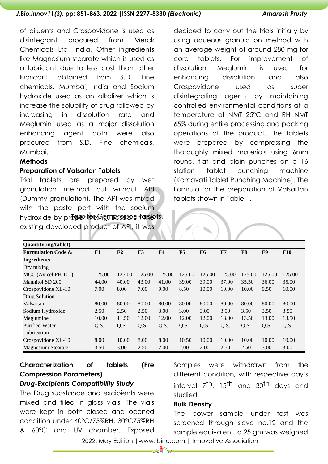of diluents and Crospovidone is used as disintegrant procured from Merck Chemicals Ltd, India. Other ingredients like Magnesium stearate which is used as a lubricant due to less cost than other lubricant obtained from S.D. Fine chemicals, Mumbai, India and Sodium hydroxide used as an alkalizer which is increase the solubility of drug followed by increasing in dissolution rate and Meglumin used as a major dissolution enhancing agent both were also procured from S.D. Fine chemicals, Mumbai.

#### **Methods**

#### **Preparation of Valsartan Tablets**

Trial tablets are prepared by wet granulation method but without API (Dummy granulation). The API was mixed with the paste part with the sodium hydroxide by pr**ōnder for Comparessed righted**s. existing developed product of API, it was

decided to carry out the trials initially by using aqueous granulation method with an average weight of around 280 mg for core tablets. For improvement of dissolution Meglumin is used for enhancing dissolution and also Crospovidone used as super disintegrating agents by maintaining controlled environmental conditions at a temperature of NMT 25°C and RH NMT 65% during entire processing and packing operations of the product. The tablets were prepared by compressing the thoroughly mixed materials using 6mm round, flat and plain punches on a 16 station tablet punching machine (Karnavati Tablet Punching Machine). The Formula for the preparation of Valsartan tablets shown in Table 1.

| Quantity(mg/tablet)           |        |                |        |                |        |                |        |        |        |            |
|-------------------------------|--------|----------------|--------|----------------|--------|----------------|--------|--------|--------|------------|
| <b>Formulation Code &amp;</b> | F1     | F <sub>2</sub> | F3     | F <sub>4</sub> | F5     | F <sub>6</sub> | F7     | F8     | F9     | <b>F10</b> |
| <b>Ingredients</b>            |        |                |        |                |        |                |        |        |        |            |
| Dry mixing                    |        |                |        |                |        |                |        |        |        |            |
| MCC (Avicel PH 101)           | 125.00 | 125.00         | 125.00 | 125.00         | 125.00 | 125.00         | 125.00 | 125.00 | 125.00 | 125.00     |
| Mannitol SD 200               | 44.00  | 40.00          | 43.00  | 41.00          | 39.00  | 39.00          | 37.00  | 35.50  | 36.00  | 35.00      |
| Crospovidone XL-10            | 7.00   | 8.00           | 7.00   | 9.00           | 8.50   | 10.00          | 10.00  | 10.00  | 9.50   | 10.00      |
| Drug Solution                 |        |                |        |                |        |                |        |        |        |            |
| Valsartan                     | 80.00  | 80.00          | 80.00  | 80.00          | 80.00  | 80.00          | 80.00  | 80.00  | 80.00  | 80.00      |
| Sodium Hydroxide              | 2.50   | 2.50           | 2.50   | 3.00           | 3.00   | 3.00           | 3.00   | 3.50   | 3.50   | 3.50       |
| Meglumine                     | 10.00  | 11.50          | 12.00  | 12.00          | 12.00  | 12.00          | 13.00  | 13.50  | 13.00  | 13.50      |
| <b>Purified Water</b>         | Q.S.   | Q.S.           | Q.S.   | Q.S.           | Q.S.   | Q.S.           | Q.S.   | Q.S.   | Q.S.   | Q.S.       |
| Lubrication                   |        |                |        |                |        |                |        |        |        |            |
| Crospovidone XL-10            | 8.00   | 10.00          | 8.00   | 8.00           | 10.50  | 10.00          | 10.00  | 10.00  | 10.00  | 10.00      |
| <b>Magnesium Stearate</b>     | 3.50   | 3.00           | 2.50   | 2.00           | 2.00   | 2.00           | 2.50   | 2.50   | 3.00   | 3.00       |

# **Characterization of tablets (Pre Compression Parameters)** *Drug-Excipients Compatibility Study*

The Drug substance and excipients were mixed and filled in glass vials. The vials were kept in both closed and opened condition under 40°C/75%RH, 30°C75%RH & 60°C and UV chamber. Exposed

Samples were withdrawn from the different condition, with respective day's interval 7th, 15th and 30th days and studied.

#### **Bulk Density**

The power sample under test was screened through sieve no.12 and the sample equivalent to 25 gm was weighed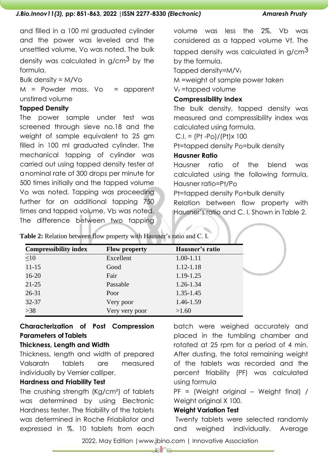and filled in a 100 ml graduated cylinder and the power was leveled and the unsettled volume, Vo was noted. The bulk density was calculated in g/cm<sup>3</sup> by the formula.

Bulk density = M/Vo

 $M =$  Powder mass.  $V<sub>O</sub> =$  apparent unstirred volume

## **Tapped Density**

The power sample under test was screened through sieve no.18 and the weight of sample equivalent to 25 gm filled in 100 ml graduated cylinder. The mechanical tapping of cylinder was carried out using tapped density tester at a nominal rate of 300 drops per minute for 500 times initially and the tapped volume Vo was noted. Tapping was proceeding further for an additional tapping 750 times and tapped volume, Vb was noted. The difference between two tapping

volume was less the 2%, Vb was considered as a tapped volume Vf. The tapped density was calculated in g/cm $3$ by the formula,

Tapped density= $M/V_f$ 

M =weight of sample power taken

 $V_f$  =tapped volume

## **Compressibility Index**

The bulk density, tapped density was measured and compressibility index was calculated using formula,

 $C.I. = (Pt - Po)/(Pt)x 100$ 

Pt=tapped density Po=bulk density

## **Hausner Ratio**

Hausner ratio of the blend was calculated using the following formula, Hausner ratio=Pt/Po

Pt=tapped density Po=bulk density

Relation between flow property with Hausner's ratio and C. I. Shown in Table 2.

|                              | $\cdots$ . The set of $\cdots$ |                 |  |
|------------------------------|--------------------------------|-----------------|--|
| <b>Compressibility index</b> | <b>Flow property</b>           | Hausner's ratio |  |
| $\leq 10$                    | Excellent                      | $1.00 - 1.11$   |  |
| $11 - 15$                    | Good                           | 1.12-1.18       |  |
| $16 - 20$                    | Fair                           | 1.19-1.25       |  |
| $21 - 25$                    | Passable                       | 1.26-1.34       |  |
| 26-31                        | Poor                           | $1.35 - 1.45$   |  |
| 32-37                        | Very poor                      | 1.46-1.59       |  |
| $>38$                        | Very very poor                 | >1.60           |  |

**Table 2:** Relation between flow property with Hausner's ratio and C. I.

# **Characterization of Post Compression Parameters of Tablets**

# **Thickness, Length and Width**

Thickness, length and width of prepared Valsaratn tablets are measured individually by Vernier calliper.

# **Hardness and Friability Test**

The crushing strength (Kg/cm²) of tablets was determined by using Electronic Hardness tester. The friability of the tablets was determined in Roche Friabilator and expressed in %. 10 tablets from each

batch were weighed accurately and placed in the tumbling chamber and rotated at 25 rpm for a period of 4 min. After dusting, the total remaining weight of the tablets was recorded and the percent friability (PF) was calculated using formula

PF = (Weight original – Weight final) / Weight original X 100.

## **Weight Variation Test**

Twenty tablets were selected randomly and weighed individually. Average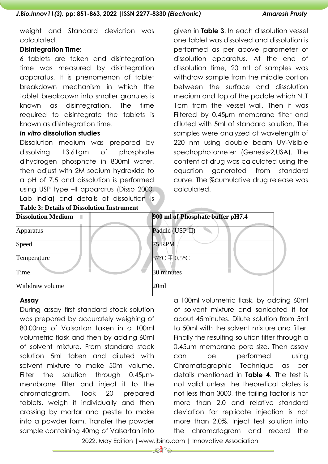weight and Standard deviation was calculated.

### **Disintegration Time:**

6 tablets are taken and disintegration time was measured by disintegration apparatus. It is phenomenon of tablet breakdown mechanism in which the tablet breakdown into smaller granules is known as disintegration. The time required to disintegrate the tablets is known as disintegration time.

#### *In vitro* **dissolution studies**

Dissolution medium was prepared by dissolving 13.61gm of phosphate dihydrogen phosphate in 800ml water, then adjust with 2M sodium hydroxide to a pH of 7.5 and dissolution is performed using USP type –II apparatus (Disso 2000, Lab India) and details of dissolution is

**Table 3: Details of Dissolution Instrument**

given in **Table 3**. In each dissolution vessel one tablet was dissolved and dissolution is performed as per above parameter of dissolution apparatus. At the end of dissolution time, 20 ml of samples was withdraw sample from the middle portion between the surface and dissolution medium and top of the paddle which NLT 1cm from the vessel wall. Then it was Filtered by 0.45µm membrane filter and diluted with 5ml of standard solution. The samples were analyzed at wavelength of 220 nm using double beam UV‐Visible spectrophotometer (Genesis‐2,USA). The content of drug was calculated using the equation generated from standard curve. The %cumulative drug release was calculated.

| <b>Dissolution Medium</b><br>٠ | 900 ml of Phosphate buffer pH7.4   |
|--------------------------------|------------------------------------|
| <b>Apparatus</b>               | Paddle (USP-II)                    |
| Speed                          | <b>75 RPM</b>                      |
| Temperature                    | $37^{\circ}$ C $\pm 0.5^{\circ}$ C |
| Time                           | 30 minutes                         |
| Withdraw volume                | 20ml                               |

### **Assay**

During assay first standard stock solution was prepared by accurately weighing of 80.00mg of Valsartan taken in a 100ml volumetric flask and then by adding 60ml of solvent mixture. From standard stock solution 5ml taken and diluted with solvent mixture to make 50ml volume. Filter the solution through 0.45µmmembrane filter and inject it to the chromatogram. Took 20 prepared tablets, weigh it individually and then crossing by mortar and pestle to make into a powder form. Transfer the powder sample containing 40mg of Valsartan into

a 100ml volumetric flask, by adding 60ml of solvent mixture and sonicated it for about 45minutes. Dilute solution from 5ml to 50ml with the solvent mixture and filter. Finally the resulting solution filter through a 0.45µm membrane pore size. Then assay can be performed using Chromatographic Technique as per details mentioned in **Table 4**. The test is not valid unless the theoretical plates is not less than 3000, the tailing factor is not more than 2.0 and relative standard deviation for replicate injection is not more than 2.0%. Inject test solution into the chromatogram and record the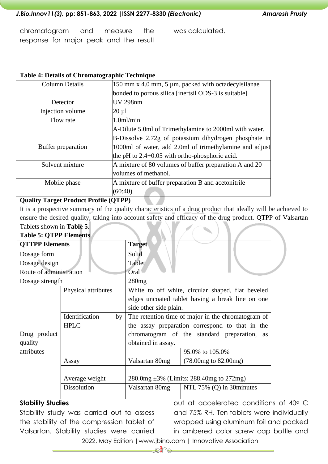chromatogram and measure the response for major peak and the result was calculated.

#### **Table 4: Details of Chromatographic Technique**

| <b>Column Details</b> | $150$ mm x 4.0 mm, 5 µm, packed with octadecylsilanae   |  |
|-----------------------|---------------------------------------------------------|--|
|                       | bonded to porous silica [inertsil ODS-3 is suitable]    |  |
| Detector              | <b>UV 298nm</b>                                         |  |
| Injection volume      | $20 \mu l$                                              |  |
| Flow rate             | 1.0 <sub>m</sub> /min                                   |  |
|                       | A-Dilute 5.0ml of Trimethylamine to 2000ml with water.  |  |
|                       | B-Dissolve 2.72g of potassium dihydrogen phosphate in   |  |
| Buffer preparation    | 1000ml of water, add 2.0ml of trimethylamine and adjust |  |
|                       | the pH to $2.4+0.05$ with ortho-phosphoric acid.        |  |
| Solvent mixture       | A mixture of 80 volumes of buffer preparation A and 20  |  |
|                       | volumes of methanol.                                    |  |
| Mobile phase          | A mixture of buffer preparation B and acetonitrile      |  |
|                       | (60:40).                                                |  |

#### **Quality Target Product Profile (QTPP)**

It is a prospective summary of the quality characteristics of a drug product that ideally will be achieved to ensure the desired quality, taking into account safety and efficacy of the drug product. QTPP of Valsartan Tablets shown in **Table 5**.

#### **Table 5: QTPP Elements**

| rabic 9: 9 TTT Extingues |                      |                                                    |                                                   |  |
|--------------------------|----------------------|----------------------------------------------------|---------------------------------------------------|--|
| <b>QTTPP Elements</b>    |                      | <b>Target</b>                                      |                                                   |  |
| Dosage form              |                      | Solid                                              |                                                   |  |
| Dosage design            |                      | Tablet                                             |                                                   |  |
| Route of administration  |                      | Oral                                               |                                                   |  |
| Dosage strength          |                      | 280mg                                              |                                                   |  |
|                          | Physical attributes  |                                                    | White to off white, circular shaped, flat beveled |  |
|                          |                      |                                                    | edges uncoated tablet having a break line on one  |  |
|                          |                      | side other side plain.                             |                                                   |  |
|                          | Identification<br>by | The retention time of major in the chromatogram of |                                                   |  |
|                          | <b>HPLC</b>          | the assay preparation correspond to that in the    |                                                   |  |
| Drug product             |                      |                                                    | chromatogram of the standard preparation,<br>as   |  |
| quality                  |                      | obtained in assay.                                 |                                                   |  |
| attributes               |                      |                                                    | 95.0% to 105.0%                                   |  |
|                          | Assay                | Valsartan 80mg                                     | $(78.00mg)$ to $82.00mg$ )                        |  |
|                          |                      |                                                    |                                                   |  |
| Average weight           |                      | $280.0mg \pm 3\%$ (Limits: 288.40mg to 272mg)      |                                                   |  |
|                          | <b>Dissolution</b>   | Valsartan 80mg                                     | NTL $75\%$ (Q) in 30 minutes                      |  |
|                          |                      |                                                    |                                                   |  |

#### **Stability Studies**

Stability study was carried out to assess the stability of the compression tablet of Valsartan. Stability studies were carried

out at accelerated conditions of 40° C and 75% RH. Ten tablets were individually wrapped using aluminum foil and packed in ambered color screw cap bottle and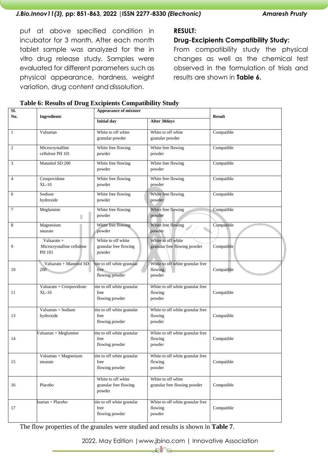put at above specified condition in incubator for 3 month. After each month tablet sample was analyzed for the in vitro drug release study*.* Samples were evaluated for different parameters such as physical appearance, hardness, weight variation, drug content and dissolution.

## **RESULT:**

### **Drug-Excipients Compatibility Study:**

From compatibility study the physical changes as well as the chemical test observed in the formulation of trials and results are shown in **Table 6.**

| Table 6: Results of Drug Excipients Compatibility Study |  |  |  |  |
|---------------------------------------------------------|--|--|--|--|
|---------------------------------------------------------|--|--|--|--|

| SI.<br>No.<br><b>Ingredients</b> |                                                       | <b>Appearance of mixture</b>                          | <b>Result</b>                                         |            |
|----------------------------------|-------------------------------------------------------|-------------------------------------------------------|-------------------------------------------------------|------------|
|                                  |                                                       | <b>Initial day</b>                                    | <b>After 30days</b>                                   |            |
| 1                                | Valsartan                                             | White to off white<br>granular powder                 | White to off white<br>granular powder                 | Compatible |
| 2                                | Microcrystalline<br>cellulose PH 101                  | White free flowing<br>powder                          | White free flowing<br>powder                          | Compatible |
| 3                                | Mannitol SD 200                                       | White free flowing<br>powder                          | White free flowing<br>powder                          | Compatible |
| $\overline{4}$                   | Crospovidone<br>$XL-10$                               | White free flowing<br>powder                          | White free flowing<br>powder                          | Compatible |
| 6                                | Sodium<br>hydroxide                                   | White free flowing<br>powder                          | White free flowing<br>powder                          | Compatible |
| $\tau$                           | Meglumine<br>Π                                        | White free flowing<br>powder                          | White free flowing<br>powder                          | Compatible |
| 8                                | Magnesium<br>stearate                                 | White free flowing<br>powder                          | White free flowing<br>powder                          | Compatible |
| 9                                | Valsaratn $+$<br>Microcrystalline cellulose<br>PH 101 | White to off white<br>granular free flowing<br>powder | White to off white<br>granular free flowing powder    | Compatible |
| 10                               | Valsaratn + Mannitol SD<br>200                        | nite to off white granular<br>free<br>flowing powder  | White to off white granular free<br>flowing<br>powder | Compatible |
| 11                               | Valsaratn + Crospovidone<br>$XL-10$                   | nite to off white granular<br>free<br>flowing powder  | White to off white granular free<br>flowing<br>powder | Compatible |
| 13                               | Valsartan + Sodium<br>hydroxide                       | nite to off white granular<br>free<br>flowing powder  | White to off white granular free<br>flowing<br>powder | Compatible |
| 14                               | Valsartan + Meglumine                                 | nite to off white granular<br>free<br>flowing powder  | White to off white granular free<br>flowing<br>powder | Compatible |
| 15                               | $\overline{Valsartan} + Magnesium$<br>stearate        | hite to off white granular<br>free<br>flowing powder  | White to off white granular free<br>flowing<br>powder | Compatible |
| 16                               | Placebo                                               | White to off white<br>granular free flowing<br>powder | White to off white<br>granular free flowing powder    | Compatible |
| 17                               | Isartan + Placebo                                     | hite to off white granular<br>free<br>flowing powder  | White to off white granular free<br>flowing<br>powder | Compatible |

The flow properties of the granules were studied and results is shown in **Table 7**.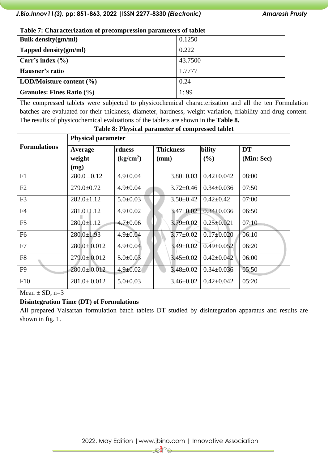| <b>Bulk density(gm/ml)</b>       | 0.1250  |
|----------------------------------|---------|
| Tapped density(gm/ml)            | 0.222   |
| Carr's index $(\% )$             | 43.7500 |
| Hausner's ratio                  | 1.7777  |
| LOD/Moisture content $(\% )$     | 0.24    |
| <b>Granules: Fines Ratio (%)</b> | 1:99    |

The compressed tablets were subjected to physicochemical characterization and all the ten Formulation batches are evaluated for their thickness, diameter, hardness, weight variation, friability and drug content. The results of physicochemical evaluations of the tablets are shown in the **Table 8.**

|                     | <b>Physical parameter</b> |                                 |                  |                  |            |  |  |
|---------------------|---------------------------|---------------------------------|------------------|------------------|------------|--|--|
| <b>Formulations</b> | Average                   | rdness                          | <b>Thickness</b> | bility           | <b>DT</b>  |  |  |
|                     | weight                    | $\frac{\text{kg}}{\text{cm}^2}$ | (mm)             | (%)              | (Min: Sec) |  |  |
|                     | (mg)                      |                                 |                  |                  |            |  |  |
| F1                  | $280.0 \pm 0.12$          | $4.9 \pm 0.04$                  | $3.80 \pm 0.03$  | $0.42 \pm 0.042$ | 08:00      |  |  |
| F2                  | $279.0 \pm 0.72$          | $4.9 \pm 0.04$                  | $3.72 \pm 0.46$  | $0.34 \pm 0.036$ | 07:50      |  |  |
| F <sub>3</sub>      | $282.0 \pm 1.12$          | $5.0 \pm 0.03$                  | $3.50 \pm 0.42$  | $0.42 \pm 0.42$  | 07:00      |  |  |
| F <sub>4</sub>      | $281.0 \pm 1.12$          | $4.9 \pm 0.02$                  | $3.47 \pm 0.02$  | $0.34 \pm 0.036$ | 06:50      |  |  |
| F <sub>5</sub>      | $280.0 \pm 1.12$          | $4.7 \pm 0.06$                  | $3.79 \pm 0.02$  | $0.25 \pm 0.021$ | 07:10      |  |  |
| F <sub>6</sub>      | $280.0 \pm 1.93$          | $4.9 \pm 0.04$                  | $3.77 \pm 0.02$  | $0.17 \pm 0.020$ | 06:10      |  |  |
| F7                  | $280.0 \pm 0.012$         | $4.9 \pm 0.04$                  | $3.49 \pm 0.02$  | $0.49 \pm 0.052$ | 06:20      |  |  |
| F8                  | $279.0 \pm 0.012$         | $5.0 \pm 0.03$                  | $3.45 \pm 0.02$  | $0.42 \pm 0.042$ | 06:00      |  |  |
| F <sub>9</sub>      | $280.0 \pm 0.012$         | $4.9 \pm 0.02$                  | $3.48 \pm 0.02$  | $0.34 \pm 0.036$ | 05:50      |  |  |
| F10                 | $281.0 \pm 0.012$         | $5.0 \pm 0.03$                  | $3.46 \pm 0.02$  | $0.42 \pm 0.042$ | 05:20      |  |  |

#### **Table 8: Physical parameter of compressed tablet**

Mean  $\pm$  SD, n=3

#### **Disintegration Time (DT) of Formulations**

All prepared Valsartan formulation batch tablets DT studied by disintegration apparatus and results are shown in fig. 1.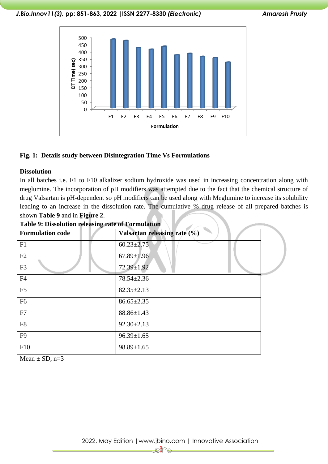*J.Bio.Innov11(3),* **pp: 851-863, 2022 |ISSN 2277-8330** *(Electronic) Amaresh Prusty*



#### **Fig. 1: Details study between Disintegration Time Vs Formulations**

#### **Dissolution**

In all batches i.e. F1 to F10 alkalizer sodium hydroxide was used in increasing concentration along with meglumine. The incorporation of pH modifiers was attempted due to the fact that the chemical structure of drug Valsartan is pH-dependent so pH modifiers can be used along with Meglumine to increase its solubility leading to an increase in the dissolution rate. The cumulative % drug release of all prepared batches is shown **Table 9** and in **Figure 2**.

| $\circ$<br><b>Formulation code</b> | Valsartan releasing rate (%) |  |
|------------------------------------|------------------------------|--|
| F1                                 | $60.23 \pm 2.75$             |  |
| F2                                 | $67.89 \pm 1.96$             |  |
| F <sub>3</sub>                     | 72.39±1.92                   |  |
| F4                                 | 78.54±2.36                   |  |
| F <sub>5</sub>                     | $82.35 \pm 2.13$             |  |
| F <sub>6</sub>                     | $86.65 \pm 2.35$             |  |
| F7                                 | $88.86 \pm 1.43$             |  |
| F8                                 | $92.30 \pm 2.13$             |  |
| F <sub>9</sub>                     | $96.39 \pm 1.65$             |  |
| F10                                | $98.89 \pm 1.65$             |  |

#### **Table 9: Dissolution releasing rate of Formulation**

Mean  $\pm$  SD, n=3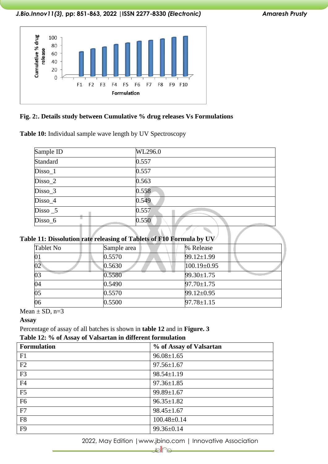

#### **Fig. 2:. Details study between Cumulative % drug releases Vs Formulations**

**Table 10:** Individual sample wave length by UV Spectroscopy

| Sample ID  | WL296.0 |
|------------|---------|
| Standard   | 0.557   |
| Disso_1    | 0.557   |
| Disso_2    | 0.563   |
| Disso_3    | 0.558   |
| Disso_4    | 0.549   |
| $Disso$ _5 | 0.557   |
| Disso_6    | 0.550   |
|            |         |

| Table 11: Dissolution rate releasing of Tablets of F10 Formula by UV |             |           |  |  |  |  |
|----------------------------------------------------------------------|-------------|-----------|--|--|--|--|
| Tablet No                                                            | Sample area | % Release |  |  |  |  |

|    | 0.5570 | $99.12 \pm 1.99$ |
|----|--------|------------------|
| 02 | 0.5630 | $100.19\pm0.95$  |
| 03 | 0.5580 | $99.30 \pm 1.75$ |
| 04 | 0.5490 | $97.70 \pm 1.75$ |
| 05 | 0.5570 | $99.12 \pm 0.95$ |
| 06 | 0.5500 | $97.78 \pm 1.15$ |

Mean  $\pm$  SD, n=3

#### **Assay**

Percentage of assay of all batches is shown in **table 12** and in **Figure. 3**

# **Table 12: % of Assay of Valsartan in different formulation**

| <b>Formulation</b> | % of Assay of Valsartan |
|--------------------|-------------------------|
| F1                 | $96.08 \pm 1.65$        |
| F2                 | $97.56 \pm 1.67$        |
| F <sub>3</sub>     | $98.54 \pm 1.19$        |
| F <sub>4</sub>     | $97.36 \pm 1.85$        |
| F <sub>5</sub>     | $99.89 \pm 1.67$        |
| F <sub>6</sub>     | $96.35 \pm 1.82$        |
| F7                 | $98.45 \pm 1.67$        |
| F <sub>8</sub>     | $100.48 \pm 0.14$       |
| F <sub>9</sub>     | 99.36±0.14              |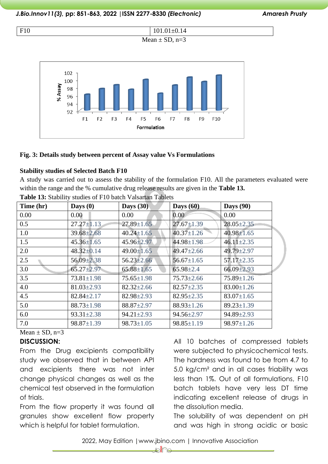



#### **Fig. 3: Details study between percent of Assay value Vs Formulations**

#### **Stability studies of Selected Batch F10**

A study was carried out to assess the stability of the formulation F10. All the parameters evaluated were within the range and the % cumulative drug release results are given in the **Table 13.**

| Time (hr) | Days $(0)$       | Days $(30)$      | Days $(60)$      | <b>Days</b> (90) |
|-----------|------------------|------------------|------------------|------------------|
| 0.00      | 0.00             | 0.00             | 0.00             | 0.00             |
| 0.5       | $27.27 \pm 1.13$ | $27.89 \pm 1.65$ | $27.67 \pm 1.39$ | $28.05 \pm 2.35$ |
| 1.0       | $39.68 \pm 2.68$ | $40.24 \pm 1.65$ | $40.37 \pm 1.26$ | $40.98 \pm 1.65$ |
| 1.5       | $45.36 \pm 1.65$ | 45.96±2.97       | 44.98±1.98       | $46.11 \pm 2.35$ |
| 2.0       | $48.32 \pm 0.14$ | $49.00 \pm 1.65$ | $49.47 \pm 2.66$ | 49.79±2.97       |
| 2.5       | 56.09±2.38       | $56.23 \pm 2.66$ | $56.67 \pm 1.65$ | $57.17 \pm 2.35$ |
| 3.0       | $65.27 \pm 2.97$ | $65.88 \pm 1.65$ | $65.98 \pm 2.4$  | $66.09 \pm 2.93$ |
| 3.5       | $73.81 \pm 1.98$ | $75.65 \pm 1.98$ | $75.73 \pm 2.66$ | $75.89 \pm 1.26$ |
| 4.0       | $81.03 \pm 2.93$ | $82.32 \pm 2.66$ | $82.57 \pm 2.35$ | $83.00 \pm 1.26$ |
| 4.5       | $82.84 \pm 2.17$ | $82.98 \pm 2.93$ | $82.95 \pm 2.35$ | $83.07 \pm 1.65$ |
| 5.0       | $88.73 \pm 1.98$ | $88.87 \pm 2.97$ | $88.93 \pm 1.26$ | $89.23 \pm 1.39$ |
| 6.0       | $93.31 \pm 2.38$ | $94.21 \pm 2.93$ | $94.56 \pm 2.97$ | 94.89±2.93       |
| 7.0       | $98.87 \pm 1.39$ | $98.73 \pm 1.05$ | $98.85 \pm 1.19$ | $98.97 \pm 1.26$ |

**Table 13:** Stability studies of F10 batch Valsartan Tablets

# Mean  $\pm$  SD, n=3

#### **DISCUSSION:**

From the Drug excipients compatibility study we observed that in between API and excipients there was not inter change physical changes as well as the chemical test observed in the formulation of trials.

From the flow property it was found all granules show excellent flow property which is helpful for tablet formulation.

All 10 batches of compressed tablets were subjected to physicochemical tests. The hardness was found to be from 4.7 to 5.0 kg/cm² and in all cases friability was less than 1%. Out of all formulations, F10 batch tablets have very less DT time indicating excellent release of drugs in the dissolution media.

The solubility of was dependent on pH and was high in strong acidic or basic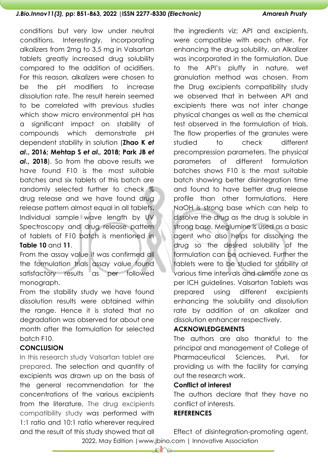conditions but very low under neutral conditions. Interestingly, incorporating alkalizers from 2mg to 3.5 mg in Valsartan tablets greatly increased drug solubility compared to the addition of acidifiers. For this reason, alkalizers were chosen to be the pH modifiers to increase dissolution rate. The result herein seemed to be correlated with previous studies which show micro environmental pH has a significant impact on stability of compounds which demonstrate pH dependent stability in solution (**Zhao K** *et al***., 2016; Mehtap S** *et al.,* **2018; Park JB** *et al***., 2018**). So from the above results we have found F10 is the most suitable batches and six tablets of this batch are randomly selected further to check % drug release and we have found drug release pattern almost equal in all tablets**.**  Individual sample wave length by UV Spectroscopy and drug release pattern of tablets of F10 batch is mentioned in **Table 10** and **11**.

From the assay value it was confirmed all the formulation trials assay value found satisfactory results as per followed monograph.

From the stability study we have found dissolution results were obtained within the range. Hence it is stated that no degradation was observed for about one month after the formulation for selected batch F10.

## **CONCLUSION**

In this research study Valsartan tablet are prepared. The selection and quantity of excipients was drawn up on the basis of the general recommendation for the concentrations of the various excipients from the literature. The drug excipients compatibility study was performed with 1:1 ratio and 10:1 ratio wherever required and the result of this study showed that all the ingredients viz; API and excipients, were compatible with each other. For enhancing the drug solubility, an Alkalizer was incorporated in the formulation. Due to the API's pluffy in nature, wet granulation method was chosen. From the Drug excipients compatibility study we observed that in between API and excipients there was not inter change physical changes as well as the chemical test observed in the formulation of trials. The flow properties of the aranules were studied to check different precompression parameters. The physical parameters of different formulation batches shows F10 is the most suitable batch showing better disintegration time and found to have better drug release profile than other formulations. Here NaOH is strong base which can help to dissolve the drug as the drug is soluble in strong base. Meglumine is used as a basic agent who also helps for dissolving the drug so the desired solubility of the formulation can be achieved. Further the tablets were to be studied for stability at various time intervals and climate zone as per ICH guidelines. Valsartan Tablets was prepared using different excipients enhancing the solubility and dissolution rate by addition of an alkalizer and dissolution enhancer respectively.

# **ACKNOWLEDGEMENTS**

The authors are also thankful to the principal and management of College of Pharmaceutical Sciences, Puri, for providing us with the facility for carrying out the research work.

#### **Conflict of interest**

The authors declare that they have no conflict of interests.

#### **REFERENCES**

 2022, May Edition |www.jbino.com | Innovative Association Effect of disintegration-promoting agent,